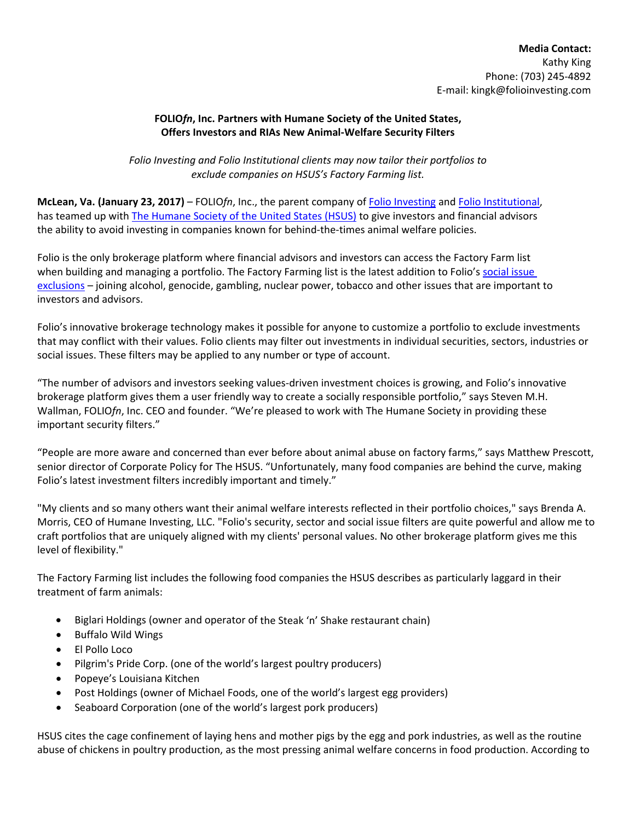## **FOLIO***fn***, Inc. Partners with Humane Society of the United States, Offers Investors and RIAs New Animal‐Welfare Security Filters**

*Folio Investing and Folio Institutional clients may now tailor their portfolios to exclude companies on HSUS's Factory Farming list.*

**McLean, Va. (January 23, 2017)** – FOLIO*fn*, Inc., the parent company of Folio Investing and Folio Institutional, has teamed up with The Humane Society of the United States (HSUS) to give investors and financial advisors the ability to avoid investing in companies known for behind‐the‐times animal welfare policies.

Folio is the only brokerage platform where financial advisors and investors can access the Factory Farm list when building and managing a portfolio. The Factory Farming list is the latest addition to Folio's social issue exclusions – joining alcohol, genocide, gambling, nuclear power, tobacco and other issues that are important to investors and advisors.

Folio's innovative brokerage technology makes it possible for anyone to customize a portfolio to exclude investments that may conflict with their values. Folio clients may filter out investments in individual securities, sectors, industries or social issues. These filters may be applied to any number or type of account.

"The number of advisors and investors seeking values‐driven investment choices is growing, and Folio's innovative brokerage platform gives them a user friendly way to create a socially responsible portfolio," says Steven M.H. Wallman, FOLIO*fn*, Inc. CEO and founder. "We're pleased to work with The Humane Society in providing these important security filters."

"People are more aware and concerned than ever before about animal abuse on factory farms," says Matthew Prescott, senior director of Corporate Policy for The HSUS. "Unfortunately, many food companies are behind the curve, making Folio's latest investment filters incredibly important and timely."

"My clients and so many others want their animal welfare interests reflected in their portfolio choices," says Brenda A. Morris, CEO of Humane Investing, LLC. "Folio's security, sector and social issue filters are quite powerful and allow me to craft portfolios that are uniquely aligned with my clients' personal values. No other brokerage platform gives me this level of flexibility."

The Factory Farming list includes the following food companies the HSUS describes as particularly laggard in their treatment of farm animals:

- Biglari Holdings (owner and operator of the Steak 'n' Shake restaurant chain)
- Buffalo Wild Wings
- El Pollo Loco
- Pilgrim's Pride Corp. (one of the world's largest poultry producers)
- Popeye's Louisiana Kitchen
- Post Holdings (owner of Michael Foods, one of the world's largest egg providers)
- Seaboard Corporation (one of the world's largest pork producers)

HSUS cites the cage confinement of laying hens and mother pigs by the egg and pork industries, as well as the routine abuse of chickens in poultry production, as the most pressing animal welfare concerns in food production. According to